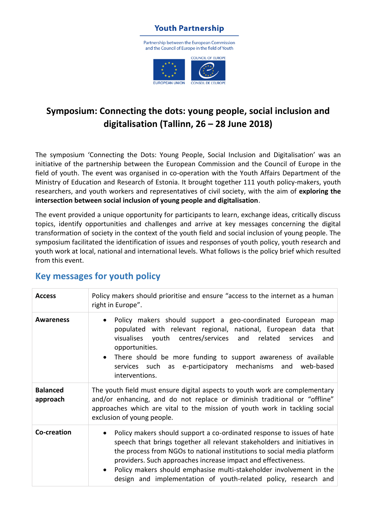

## **Symposium: Connecting the dots: young people, social inclusion and digitalisation (Tallinn, 26 – 28 June 2018)**

The symposium 'Connecting the Dots: Young People, Social Inclusion and Digitalisation' was an initiative of the partnership between the European Commission and the Council of Europe in the field of youth. The event was organised in co-operation with the Youth Affairs Department of the Ministry of Education and Research of Estonia. It brought together 111 youth policy-makers, youth researchers, and youth workers and representatives of civil society, with the aim of **exploring the intersection between social inclusion of young people and digitalisation**.

The event provided a unique opportunity for participants to learn, exchange ideas, critically discuss topics, identify opportunities and challenges and arrive at key messages concerning the digital transformation of society in the context of the youth field and social inclusion of young people. The symposium facilitated the identification of issues and responses of youth policy, youth research and youth work at local, national and international levels. What follows is the policy brief which resulted from this event.

| <b>Access</b>               | Policy makers should prioritise and ensure "access to the internet as a human<br>right in Europe".                                                                                                                                                                                                                                                                                                                                       |
|-----------------------------|------------------------------------------------------------------------------------------------------------------------------------------------------------------------------------------------------------------------------------------------------------------------------------------------------------------------------------------------------------------------------------------------------------------------------------------|
| <b>Awareness</b>            | Policy makers should support a geo-coordinated European<br>map<br>populated with relevant regional, national, European data<br>that<br>visualises youth centres/services and related<br>and<br>services<br>opportunities.<br>There should be more funding to support awareness of available<br>mechanisms and web-based<br>services such as e-participatory<br>interventions.                                                            |
| <b>Balanced</b><br>approach | The youth field must ensure digital aspects to youth work are complementary<br>and/or enhancing, and do not replace or diminish traditional or "offline"<br>approaches which are vital to the mission of youth work in tackling social<br>exclusion of young people.                                                                                                                                                                     |
| Co-creation                 | Policy makers should support a co-ordinated response to issues of hate<br>speech that brings together all relevant stakeholders and initiatives in<br>the process from NGOs to national institutions to social media platform<br>providers. Such approaches increase impact and effectiveness.<br>Policy makers should emphasise multi-stakeholder involvement in the<br>design and implementation of youth-related policy, research and |

## **Key messages for youth policy**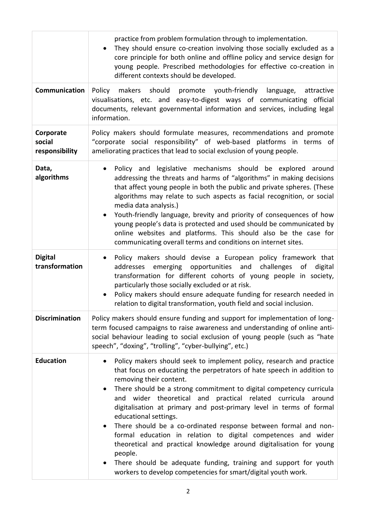|                                       | practice from problem formulation through to implementation.<br>They should ensure co-creation involving those socially excluded as a<br>core principle for both online and offline policy and service design for<br>young people. Prescribed methodologies for effective co-creation in<br>different contexts should be developed.                                                                                                                                                                                                                                                                                                                                                                                                                                                                                |
|---------------------------------------|--------------------------------------------------------------------------------------------------------------------------------------------------------------------------------------------------------------------------------------------------------------------------------------------------------------------------------------------------------------------------------------------------------------------------------------------------------------------------------------------------------------------------------------------------------------------------------------------------------------------------------------------------------------------------------------------------------------------------------------------------------------------------------------------------------------------|
| Communication                         | Policy makers should promote youth-friendly language,<br>attractive<br>visualisations, etc. and easy-to-digest ways of communicating official<br>documents, relevant governmental information and services, including legal<br>information.                                                                                                                                                                                                                                                                                                                                                                                                                                                                                                                                                                        |
| Corporate<br>social<br>responsibility | Policy makers should formulate measures, recommendations and promote<br>"corporate social responsibility" of web-based platforms in terms of<br>ameliorating practices that lead to social exclusion of young people.                                                                                                                                                                                                                                                                                                                                                                                                                                                                                                                                                                                              |
| Data,<br>algorithms                   | Policy and legislative mechanisms should be explored around<br>addressing the threats and harms of "algorithms" in making decisions<br>that affect young people in both the public and private spheres. (These<br>algorithms may relate to such aspects as facial recognition, or social<br>media data analysis.)<br>Youth-friendly language, brevity and priority of consequences of how<br>young people's data is protected and used should be communicated by<br>online websites and platforms. This should also be the case for<br>communicating overall terms and conditions on internet sites.                                                                                                                                                                                                               |
| <b>Digital</b><br>transformation      | Policy makers should devise a European policy framework that<br>emerging opportunities and<br>challenges<br>digital<br>addresses<br>0f<br>transformation for different cohorts of young people in society,<br>particularly those socially excluded or at risk.<br>Policy makers should ensure adequate funding for research needed in<br>$\bullet$<br>relation to digital transformation, youth field and social inclusion.                                                                                                                                                                                                                                                                                                                                                                                        |
| <b>Discrimination</b>                 | Policy makers should ensure funding and support for implementation of long-<br>term focused campaigns to raise awareness and understanding of online anti-<br>social behaviour leading to social exclusion of young people (such as "hate<br>speech", "doxing", "trolling", "cyber-bullying", etc.)                                                                                                                                                                                                                                                                                                                                                                                                                                                                                                                |
| <b>Education</b>                      | Policy makers should seek to implement policy, research and practice<br>$\bullet$<br>that focus on educating the perpetrators of hate speech in addition to<br>removing their content.<br>There should be a strong commitment to digital competency curricula<br>$\bullet$<br>and wider theoretical and practical related curricula around<br>digitalisation at primary and post-primary level in terms of formal<br>educational settings.<br>There should be a co-ordinated response between formal and non-<br>formal education in relation to digital competences and wider<br>theoretical and practical knowledge around digitalisation for young<br>people.<br>There should be adequate funding, training and support for youth<br>$\bullet$<br>workers to develop competencies for smart/digital youth work. |